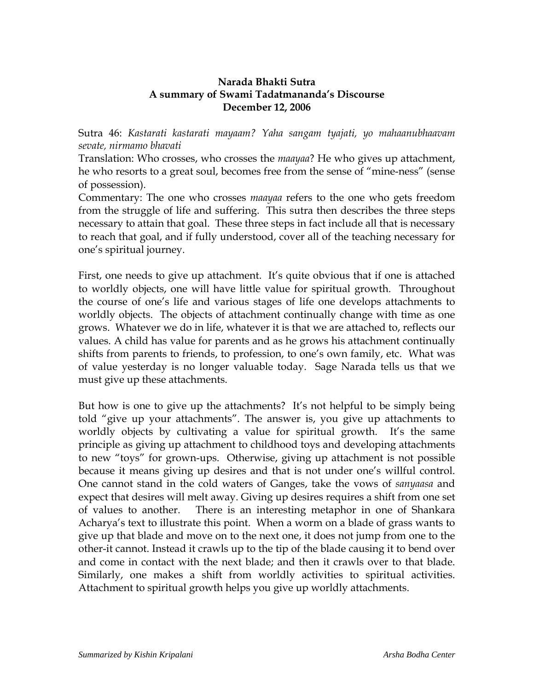## **Narada Bhakti Sutra A summary of Swami Tadatmananda's Discourse December 12, 2006**

Sutra 46: *Kastarati kastarati mayaam? Yaha sangam tyajati, yo mahaanubhaavam sevate, nirmamo bhavati*

Translation: Who crosses, who crosses the *maayaa*? He who gives up attachment, he who resorts to a great soul, becomes free from the sense of "mine-ness" (sense of possession).

Commentary: The one who crosses *maayaa* refers to the one who gets freedom from the struggle of life and suffering. This sutra then describes the three steps necessary to attain that goal. These three steps in fact include all that is necessary to reach that goal, and if fully understood, cover all of the teaching necessary for one's spiritual journey.

First, one needs to give up attachment. It's quite obvious that if one is attached to worldly objects, one will have little value for spiritual growth. Throughout the course of one's life and various stages of life one develops attachments to worldly objects. The objects of attachment continually change with time as one grows. Whatever we do in life, whatever it is that we are attached to, reflects our values. A child has value for parents and as he grows his attachment continually shifts from parents to friends, to profession, to one's own family, etc. What was of value yesterday is no longer valuable today. Sage Narada tells us that we must give up these attachments.

But how is one to give up the attachments? It's not helpful to be simply being told "give up your attachments". The answer is, you give up attachments to worldly objects by cultivating a value for spiritual growth. It's the same principle as giving up attachment to childhood toys and developing attachments to new "toys" for grown-ups. Otherwise, giving up attachment is not possible because it means giving up desires and that is not under one's willful control. One cannot stand in the cold waters of Ganges, take the vows of *sanyaasa* and expect that desires will melt away. Giving up desires requires a shift from one set of values to another. There is an interesting metaphor in one of Shankara Acharya's text to illustrate this point. When a worm on a blade of grass wants to give up that blade and move on to the next one, it does not jump from one to the other-it cannot. Instead it crawls up to the tip of the blade causing it to bend over and come in contact with the next blade; and then it crawls over to that blade. Similarly, one makes a shift from worldly activities to spiritual activities. Attachment to spiritual growth helps you give up worldly attachments.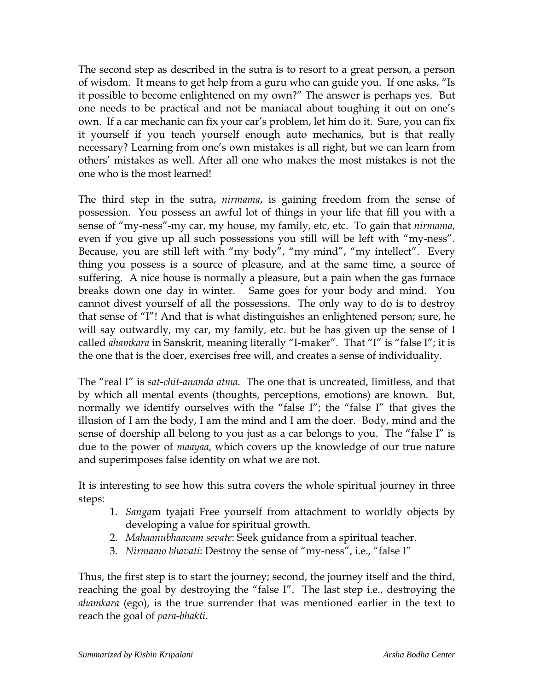The second step as described in the sutra is to resort to a great person, a person of wisdom. It means to get help from a guru who can guide you. If one asks, "Is it possible to become enlightened on my own?" The answer is perhaps yes. But one needs to be practical and not be maniacal about toughing it out on one's own. If a car mechanic can fix your car's problem, let him do it. Sure, you can fix it yourself if you teach yourself enough auto mechanics, but is that really necessary? Learning from one's own mistakes is all right, but we can learn from others' mistakes as well. After all one who makes the most mistakes is not the one who is the most learned!

The third step in the sutra, *nirmama*, is gaining freedom from the sense of possession. You possess an awful lot of things in your life that fill you with a sense of "my-ness"-my car, my house, my family, etc, etc. To gain that *nirmama*, even if you give up all such possessions you still will be left with "my-ness". Because, you are still left with "my body", "my mind", "my intellect". Every thing you possess is a source of pleasure, and at the same time, a source of suffering. A nice house is normally a pleasure, but a pain when the gas furnace breaks down one day in winter. Same goes for your body and mind. You cannot divest yourself of all the possessions. The only way to do is to destroy that sense of "I"! And that is what distinguishes an enlightened person; sure, he will say outwardly, my car, my family, etc. but he has given up the sense of I called *ahamkara* in Sanskrit, meaning literally "I-maker". That "I" is "false I"; it is the one that is the doer, exercises free will, and creates a sense of individuality.

The "real I" is *sat*-*chit*-*ananda atma*. The one that is uncreated, limitless, and that by which all mental events (thoughts, perceptions, emotions) are known. But, normally we identify ourselves with the "false I"; the "false I" that gives the illusion of I am the body, I am the mind and I am the doer. Body, mind and the sense of doership all belong to you just as a car belongs to you. The "false I" is due to the power of *maayaa*, which covers up the knowledge of our true nature and superimposes false identity on what we are not.

It is interesting to see how this sutra covers the whole spiritual journey in three steps:

- 1. *Sanga*m tyajati Free yourself from attachment to worldly objects by developing a value for spiritual growth.
- 2. *Mahaanubhaavam sevate*: Seek guidance from a spiritual teacher.
- 3. *Nirmamo bhavati*: Destroy the sense of "my-ness", i.e., "false I"

Thus, the first step is to start the journey; second, the journey itself and the third, reaching the goal by destroying the "false I". The last step i.e., destroying the *ahamkara* (ego), is the true surrender that was mentioned earlier in the text to reach the goal of *para*-*bhakti*.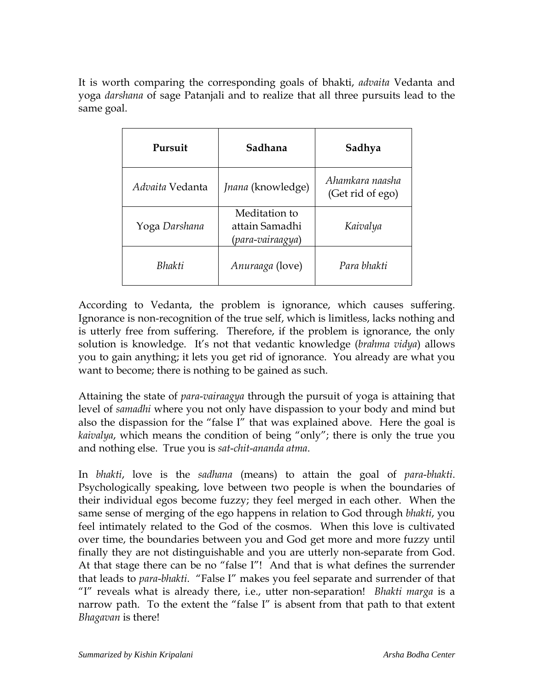It is worth comparing the corresponding goals of bhakti, *advaita* Vedanta and yoga *darshana* of sage Patanjali and to realize that all three pursuits lead to the same goal.

| Pursuit         | Sadhana                                             | Sadhya                              |
|-----------------|-----------------------------------------------------|-------------------------------------|
| Advaita Vedanta | <i>Jnana</i> (knowledge)                            | Ahamkara naasha<br>(Get rid of ego) |
| Yoga Darshana   | Meditation to<br>attain Samadhi<br>(para-vairaagya) | Kaivalya                            |
| <b>Bhakti</b>   | Anuraaga (love)                                     | Para bhakti                         |

According to Vedanta, the problem is ignorance, which causes suffering. Ignorance is non-recognition of the true self, which is limitless, lacks nothing and is utterly free from suffering. Therefore, if the problem is ignorance, the only solution is knowledge. It's not that vedantic knowledge (*brahma vidya*) allows you to gain anything; it lets you get rid of ignorance. You already are what you want to become; there is nothing to be gained as such.

Attaining the state of *para*-*vairaagya* through the pursuit of yoga is attaining that level of *samadhi* where you not only have dispassion to your body and mind but also the dispassion for the "false I" that was explained above. Here the goal is *kaivalya*, which means the condition of being "only"; there is only the true you and nothing else. True you is *sat*-*chit*-*ananda atma*.

In *bhakti*, love is the *sadhana* (means) to attain the goal of *para*-*bhakti*. Psychologically speaking, love between two people is when the boundaries of their individual egos become fuzzy; they feel merged in each other. When the same sense of merging of the ego happens in relation to God through *bhakti*, you feel intimately related to the God of the cosmos. When this love is cultivated over time, the boundaries between you and God get more and more fuzzy until finally they are not distinguishable and you are utterly non-separate from God. At that stage there can be no "false I"! And that is what defines the surrender that leads to *para*-*bhakti*. "False I" makes you feel separate and surrender of that "I" reveals what is already there, i.e., utter non-separation! *Bhakti marga* is a narrow path. To the extent the "false I" is absent from that path to that extent *Bhagavan* is there!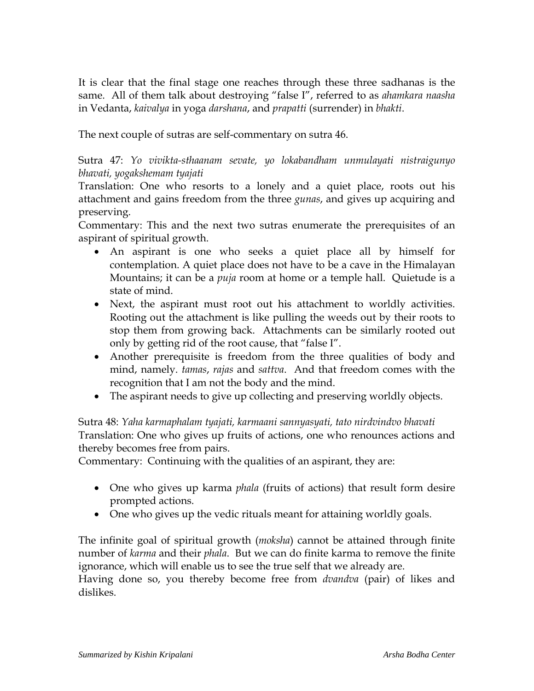It is clear that the final stage one reaches through these three sadhanas is the same. All of them talk about destroying "false I", referred to as *ahamkara naasha* in Vedanta, *kaivalya* in yoga *darshana*, and *prapatti* (surrender) in *bhakti*.

The next couple of sutras are self-commentary on sutra 46.

Sutra 47: *Yo vivikta-sthaanam sevate, yo lokabandham unmulayati nistraigunyo bhavati, yogakshemam tyajati*

Translation: One who resorts to a lonely and a quiet place, roots out his attachment and gains freedom from the three *gunas*, and gives up acquiring and preserving.

Commentary: This and the next two sutras enumerate the prerequisites of an aspirant of spiritual growth.

- An aspirant is one who seeks a quiet place all by himself for contemplation. A quiet place does not have to be a cave in the Himalayan Mountains; it can be a *puja* room at home or a temple hall. Quietude is a state of mind.
- Next, the aspirant must root out his attachment to worldly activities. Rooting out the attachment is like pulling the weeds out by their roots to stop them from growing back. Attachments can be similarly rooted out only by getting rid of the root cause, that "false I".
- Another prerequisite is freedom from the three qualities of body and mind, namely. *tamas*, *rajas* and *sattva*. And that freedom comes with the recognition that I am not the body and the mind.
- The aspirant needs to give up collecting and preserving worldly objects.

Sutra 48: *Yaha karmaphalam tyajati, karmaani sannyasyati, tato nirdvindvo bhavati*  Translation: One who gives up fruits of actions, one who renounces actions and thereby becomes free from pairs.

Commentary: Continuing with the qualities of an aspirant, they are:

- One who gives up karma *phala* (fruits of actions) that result form desire prompted actions.
- One who gives up the vedic rituals meant for attaining worldly goals.

The infinite goal of spiritual growth (*moksha*) cannot be attained through finite number of *karma* and their *phala*. But we can do finite karma to remove the finite ignorance, which will enable us to see the true self that we already are.

Having done so, you thereby become free from *dvandva* (pair) of likes and dislikes.